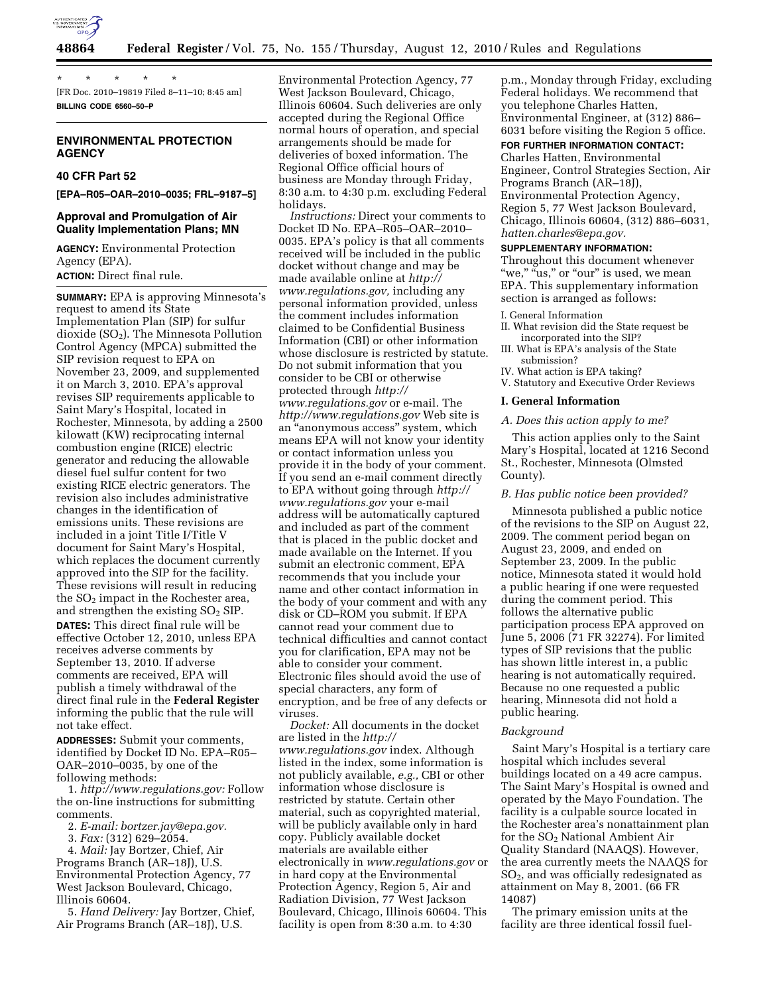

\* \* \* \* \* [FR Doc. 2010–19819 Filed 8–11–10; 8:45 am] **BILLING CODE 6560–50–P** 

# **ENVIRONMENTAL PROTECTION AGENCY**

# **40 CFR Part 52**

**[EPA–R05–OAR–2010–0035; FRL–9187–5]** 

# **Approval and Promulgation of Air Quality Implementation Plans; MN**

**AGENCY:** Environmental Protection Agency (EPA). **ACTION:** Direct final rule.

**SUMMARY:** EPA is approving Minnesota's request to amend its State Implementation Plan (SIP) for sulfur dioxide (SO<sub>2</sub>). The Minnesota Pollution Control Agency (MPCA) submitted the SIP revision request to EPA on November 23, 2009, and supplemented it on March 3, 2010. EPA's approval revises SIP requirements applicable to Saint Mary's Hospital, located in Rochester, Minnesota, by adding a 2500 kilowatt (KW) reciprocating internal combustion engine (RICE) electric generator and reducing the allowable diesel fuel sulfur content for two existing RICE electric generators. The revision also includes administrative changes in the identification of emissions units. These revisions are included in a joint Title I/Title V document for Saint Mary's Hospital, which replaces the document currently approved into the SIP for the facility. These revisions will result in reducing the  $SO<sub>2</sub>$  impact in the Rochester area, and strengthen the existing  $SO<sub>2</sub>$  SIP. **DATES:** This direct final rule will be

effective October 12, 2010, unless EPA receives adverse comments by September 13, 2010. If adverse comments are received, EPA will publish a timely withdrawal of the direct final rule in the **Federal Register**  informing the public that the rule will not take effect.

**ADDRESSES:** Submit your comments, identified by Docket ID No. EPA–R05– OAR–2010–0035, by one of the following methods:

1. *[http://www.regulations.gov:](http://www.regulations.gov)* Follow the on-line instructions for submitting comments.

- 2. *E-mail: [bortzer.jay@epa.gov.](mailto:bortzer.jay@epa.gov)*
- 3. *Fax:* (312) 629–2054.

4. *Mail:* Jay Bortzer, Chief, Air Programs Branch (AR–18J), U.S. Environmental Protection Agency, 77 West Jackson Boulevard, Chicago, Illinois 60604.

5. *Hand Delivery:* Jay Bortzer, Chief, Air Programs Branch (AR–18J), U.S.

Environmental Protection Agency, 77 West Jackson Boulevard, Chicago, Illinois 60604. Such deliveries are only accepted during the Regional Office normal hours of operation, and special arrangements should be made for deliveries of boxed information. The Regional Office official hours of business are Monday through Friday, 8:30 a.m. to 4:30 p.m. excluding Federal holidays.

*Instructions:* Direct your comments to Docket ID No. EPA–R05–OAR–2010– 0035. EPA's policy is that all comments received will be included in the public docket without change and may be made available online at *[http://](http://www.regulations.gov)  [www.regulations.gov,](http://www.regulations.gov)* including any personal information provided, unless the comment includes information claimed to be Confidential Business Information (CBI) or other information whose disclosure is restricted by statute. Do not submit information that you consider to be CBI or otherwise protected through *[http://](http://www.regulations.gov)  [www.regulations.gov](http://www.regulations.gov)* or e-mail. The *<http://www.regulations.gov>* Web site is an ''anonymous access'' system, which means EPA will not know your identity or contact information unless you provide it in the body of your comment. If you send an e-mail comment directly to EPA without going through *[http://](http://www.regulations.gov) [www.regulations.gov](http://www.regulations.gov)* your e-mail address will be automatically captured and included as part of the comment that is placed in the public docket and made available on the Internet. If you submit an electronic comment, EPA recommends that you include your name and other contact information in the body of your comment and with any disk or CD–ROM you submit. If EPA cannot read your comment due to technical difficulties and cannot contact you for clarification, EPA may not be able to consider your comment. Electronic files should avoid the use of special characters, any form of encryption, and be free of any defects or viruses.

*Docket:* All documents in the docket are listed in the *[http://](http://www.regulations.gov) [www.regulations.gov](http://www.regulations.gov)* index. Although listed in the index, some information is not publicly available, *e.g.,* CBI or other information whose disclosure is restricted by statute. Certain other material, such as copyrighted material, will be publicly available only in hard copy. Publicly available docket materials are available either electronically in *[www.regulations.gov](http://www.regulations.gov)* or in hard copy at the Environmental Protection Agency, Region 5, Air and Radiation Division, 77 West Jackson Boulevard, Chicago, Illinois 60604. This facility is open from 8:30 a.m. to 4:30

p.m., Monday through Friday, excluding Federal holidays. We recommend that you telephone Charles Hatten, Environmental Engineer, at (312) 886– 6031 before visiting the Region 5 office.

# **FOR FURTHER INFORMATION CONTACT:**

Charles Hatten, Environmental Engineer, Control Strategies Section, Air Programs Branch (AR–18J), Environmental Protection Agency, Region 5, 77 West Jackson Boulevard, Chicago, Illinois 60604, (312) 886–6031, *[hatten.charles@epa.gov.](mailto:hatten.charles@epa.gov)* 

# **SUPPLEMENTARY INFORMATION:**

Throughout this document whenever "we," "us," or "our" is used, we mean EPA. This supplementary information section is arranged as follows:

#### I. General Information

- II. What revision did the State request be incorporated into the SIP?
- III. What is EPA's analysis of the State submission?
- IV. What action is EPA taking?
- V. Statutory and Executive Order Reviews

### **I. General Information**

#### *A. Does this action apply to me?*

This action applies only to the Saint Mary's Hospital, located at 1216 Second St., Rochester, Minnesota (Olmsted County).

# *B. Has public notice been provided?*

Minnesota published a public notice of the revisions to the SIP on August 22, 2009. The comment period began on August 23, 2009, and ended on September 23, 2009. In the public notice, Minnesota stated it would hold a public hearing if one were requested during the comment period. This follows the alternative public participation process EPA approved on June 5, 2006 (71 FR 32274). For limited types of SIP revisions that the public has shown little interest in, a public hearing is not automatically required. Because no one requested a public hearing, Minnesota did not hold a public hearing.

#### *Background*

Saint Mary's Hospital is a tertiary care hospital which includes several buildings located on a 49 acre campus. The Saint Mary's Hospital is owned and operated by the Mayo Foundation. The facility is a culpable source located in the Rochester area's nonattainment plan for the SO2 National Ambient Air Quality Standard (NAAQS). However, the area currently meets the NAAQS for SO2, and was officially redesignated as attainment on May 8, 2001. (66 FR 14087)

The primary emission units at the facility are three identical fossil fuel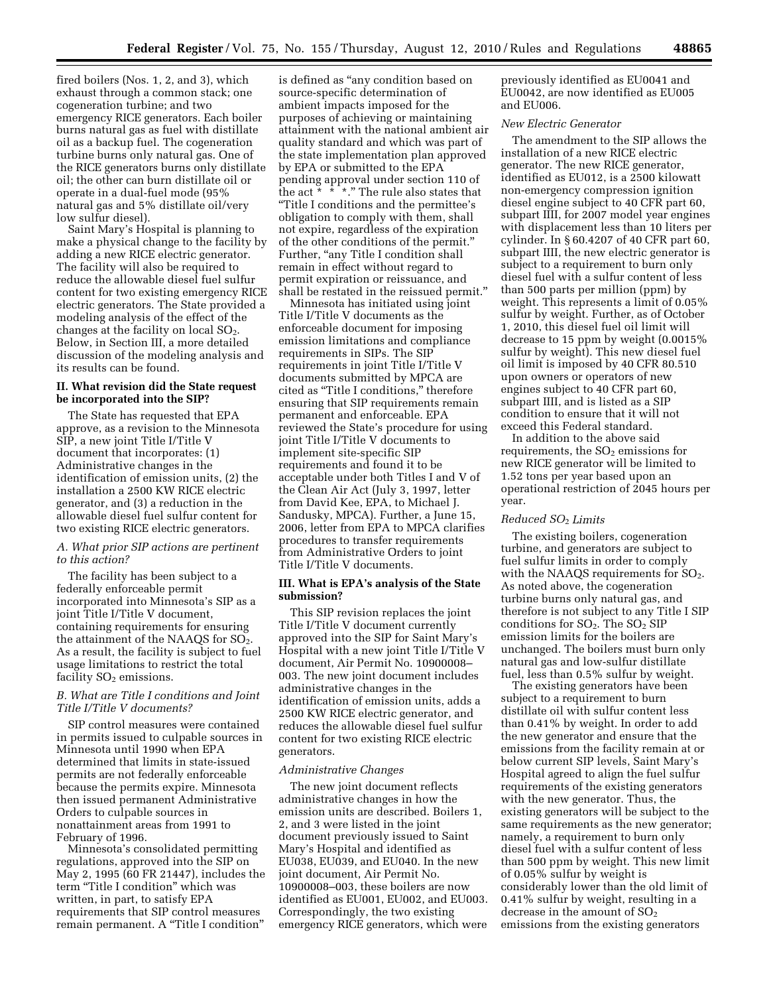fired boilers (Nos. 1, 2, and 3), which exhaust through a common stack; one cogeneration turbine; and two emergency RICE generators. Each boiler burns natural gas as fuel with distillate oil as a backup fuel. The cogeneration turbine burns only natural gas. One of the RICE generators burns only distillate oil; the other can burn distillate oil or operate in a dual-fuel mode (95% natural gas and 5% distillate oil/very low sulfur diesel).

Saint Mary's Hospital is planning to make a physical change to the facility by adding a new RICE electric generator. The facility will also be required to reduce the allowable diesel fuel sulfur content for two existing emergency RICE electric generators. The State provided a modeling analysis of the effect of the changes at the facility on local  $SO_2$ . Below, in Section III, a more detailed discussion of the modeling analysis and its results can be found.

### **II. What revision did the State request be incorporated into the SIP?**

The State has requested that EPA approve, as a revision to the Minnesota SIP, a new joint Title I/Title V document that incorporates: (1) Administrative changes in the identification of emission units, (2) the installation a 2500 KW RICE electric generator, and (3) a reduction in the allowable diesel fuel sulfur content for two existing RICE electric generators.

## *A. What prior SIP actions are pertinent to this action?*

The facility has been subject to a federally enforceable permit incorporated into Minnesota's SIP as a joint Title I/Title V document, containing requirements for ensuring the attainment of the NAAQS for  $SO<sub>2</sub>$ . As a result, the facility is subject to fuel usage limitations to restrict the total facility  $SO<sub>2</sub>$  emissions.

### *B. What are Title I conditions and Joint Title I/Title V documents?*

SIP control measures were contained in permits issued to culpable sources in Minnesota until 1990 when EPA determined that limits in state-issued permits are not federally enforceable because the permits expire. Minnesota then issued permanent Administrative Orders to culpable sources in nonattainment areas from 1991 to February of 1996.

Minnesota's consolidated permitting regulations, approved into the SIP on May 2, 1995 (60 FR 21447), includes the term "Title I condition" which was written, in part, to satisfy EPA requirements that SIP control measures remain permanent. A "Title I condition"

is defined as ''any condition based on source-specific determination of ambient impacts imposed for the purposes of achieving or maintaining attainment with the national ambient air quality standard and which was part of the state implementation plan approved by EPA or submitted to the EPA pending approval under section 110 of the act \* \* \*.'' The rule also states that ''Title I conditions and the permittee's obligation to comply with them, shall not expire, regardless of the expiration of the other conditions of the permit.'' Further, "any Title I condition shall remain in effect without regard to permit expiration or reissuance, and shall be restated in the reissued permit.''

Minnesota has initiated using joint Title I/Title V documents as the enforceable document for imposing emission limitations and compliance requirements in SIPs. The SIP requirements in joint Title I/Title V documents submitted by MPCA are cited as ''Title I conditions,'' therefore ensuring that SIP requirements remain permanent and enforceable. EPA reviewed the State's procedure for using joint Title I/Title V documents to implement site-specific SIP requirements and found it to be acceptable under both Titles I and V of the Clean Air Act (July 3, 1997, letter from David Kee, EPA, to Michael J. Sandusky, MPCA). Further, a June 15, 2006, letter from EPA to MPCA clarifies procedures to transfer requirements from Administrative Orders to joint Title I/Title V documents.

### **III. What is EPA's analysis of the State submission?**

This SIP revision replaces the joint Title I/Title V document currently approved into the SIP for Saint Mary's Hospital with a new joint Title I/Title V document, Air Permit No. 10900008– 003. The new joint document includes administrative changes in the identification of emission units, adds a 2500 KW RICE electric generator, and reduces the allowable diesel fuel sulfur content for two existing RICE electric generators.

#### *Administrative Changes*

The new joint document reflects administrative changes in how the emission units are described. Boilers 1, 2, and 3 were listed in the joint document previously issued to Saint Mary's Hospital and identified as EU038, EU039, and EU040. In the new joint document, Air Permit No. 10900008–003, these boilers are now identified as EU001, EU002, and EU003. Correspondingly, the two existing emergency RICE generators, which were

previously identified as EU0041 and EU0042, are now identified as EU005 and EU006.

# *New Electric Generator*

The amendment to the SIP allows the installation of a new RICE electric generator. The new RICE generator, identified as EU012, is a 2500 kilowatt non-emergency compression ignition diesel engine subject to 40 CFR part 60, subpart IIII, for 2007 model year engines with displacement less than 10 liters per cylinder. In § 60.4207 of 40 CFR part 60, subpart IIII, the new electric generator is subject to a requirement to burn only diesel fuel with a sulfur content of less than 500 parts per million (ppm) by weight. This represents a limit of 0.05% sulfur by weight. Further, as of October 1, 2010, this diesel fuel oil limit will decrease to 15 ppm by weight (0.0015% sulfur by weight). This new diesel fuel oil limit is imposed by 40 CFR 80.510 upon owners or operators of new engines subject to 40 CFR part 60, subpart IIII, and is listed as a SIP condition to ensure that it will not exceed this Federal standard.

In addition to the above said requirements, the  $SO<sub>2</sub>$  emissions for new RICE generator will be limited to 1.52 tons per year based upon an operational restriction of 2045 hours per year.

#### *Reduced SO*2 *Limits*

The existing boilers, cogeneration turbine, and generators are subject to fuel sulfur limits in order to comply with the NAAQS requirements for  $SO_2$ . As noted above, the cogeneration turbine burns only natural gas, and therefore is not subject to any Title I SIP conditions for SO<sub>2</sub>. The SO<sub>2</sub> SIP emission limits for the boilers are unchanged. The boilers must burn only natural gas and low-sulfur distillate fuel, less than 0.5% sulfur by weight.

The existing generators have been subject to a requirement to burn distillate oil with sulfur content less than 0.41% by weight. In order to add the new generator and ensure that the emissions from the facility remain at or below current SIP levels, Saint Mary's Hospital agreed to align the fuel sulfur requirements of the existing generators with the new generator. Thus, the existing generators will be subject to the same requirements as the new generator; namely, a requirement to burn only diesel fuel with a sulfur content of less than 500 ppm by weight. This new limit of 0.05% sulfur by weight is considerably lower than the old limit of 0.41% sulfur by weight, resulting in a decrease in the amount of  $SO<sub>2</sub>$ emissions from the existing generators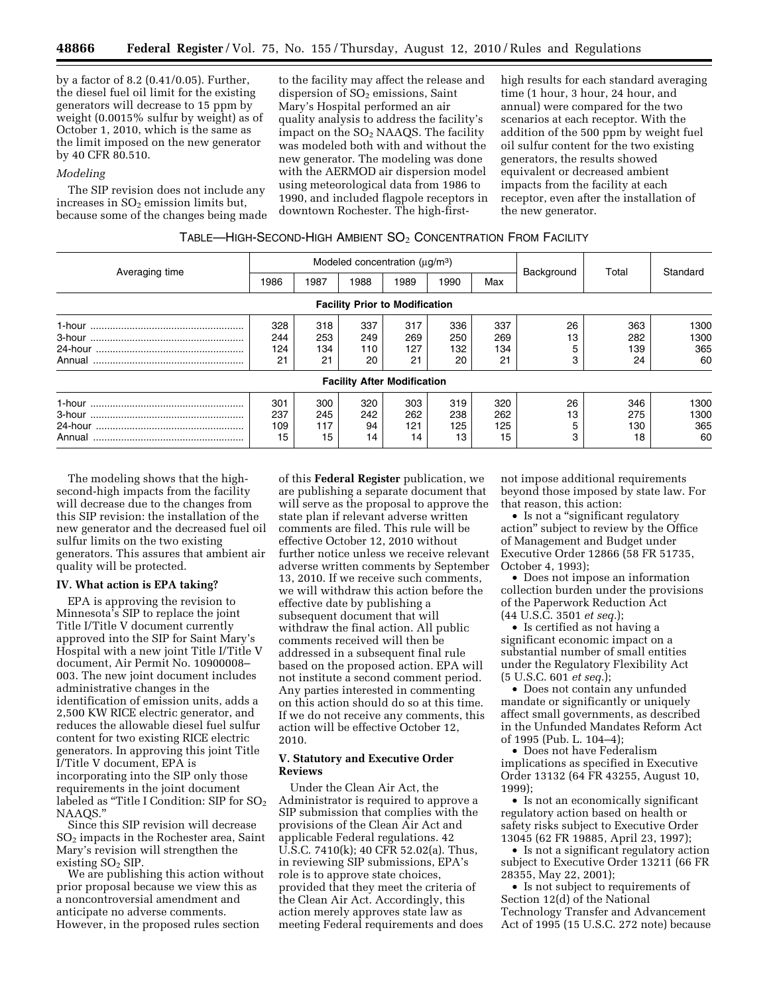by a factor of 8.2 (0.41/0.05). Further, the diesel fuel oil limit for the existing generators will decrease to 15 ppm by weight (0.0015% sulfur by weight) as of October 1, 2010, which is the same as the limit imposed on the new generator by 40 CFR 80.510.

#### *Modeling*

The SIP revision does not include any increases in  $SO<sub>2</sub>$  emission limits but, because some of the changes being made to the facility may affect the release and dispersion of  $SO<sub>2</sub>$  emissions, Saint Mary's Hospital performed an air quality analysis to address the facility's impact on the  $SO<sub>2</sub>$  NAAQS. The facility was modeled both with and without the new generator. The modeling was done with the AERMOD air dispersion model using meteorological data from 1986 to 1990, and included flagpole receptors in downtown Rochester. The high-firsthigh results for each standard averaging time (1 hour, 3 hour, 24 hour, and annual) were compared for the two scenarios at each receptor. With the addition of the 500 ppm by weight fuel oil sulfur content for the two existing generators, the results showed equivalent or decreased ambient impacts from the facility at each receptor, even after the installation of the new generator.

| ${\sf Table}$ —High-Second-High Ambient ${\sf SO}_2$ Concentration From Facility |
|----------------------------------------------------------------------------------|
|----------------------------------------------------------------------------------|

|                                       | Modeled concentration $(\mu q/m^3)$ |                         |                                    |                         |                         |                         |                    |                         |                           |  |  |  |
|---------------------------------------|-------------------------------------|-------------------------|------------------------------------|-------------------------|-------------------------|-------------------------|--------------------|-------------------------|---------------------------|--|--|--|
| Averaging time                        | 1986                                | 1987                    | 1988                               | 1989                    | 1990                    | Max                     | Background         | Total                   | Standard                  |  |  |  |
| <b>Facility Prior to Modification</b> |                                     |                         |                                    |                         |                         |                         |                    |                         |                           |  |  |  |
|                                       | 328<br>244<br>124<br>21             | 318<br>253<br>134<br>21 | 337<br>249<br>110<br>20            | 317<br>269<br>127<br>21 | 336<br>250<br>132<br>20 | 337<br>269<br>134<br>21 | 26<br>13<br>5<br>3 | 363<br>282<br>139<br>24 | 1300<br>1300<br>365<br>60 |  |  |  |
|                                       |                                     |                         | <b>Facility After Modification</b> |                         |                         |                         |                    |                         |                           |  |  |  |
| Annual                                | 301<br>237<br>109<br>15             | 300<br>245<br>117<br>15 | 320<br>242<br>94<br>14             | 303<br>262<br>121<br>14 | 319<br>238<br>125<br>13 | 320<br>262<br>125<br>15 | 26<br>13<br>5<br>3 | 346<br>275<br>130<br>18 | 1300<br>1300<br>365<br>60 |  |  |  |

The modeling shows that the highsecond-high impacts from the facility will decrease due to the changes from this SIP revision: the installation of the new generator and the decreased fuel oil sulfur limits on the two existing generators. This assures that ambient air quality will be protected.

#### **IV. What action is EPA taking?**

EPA is approving the revision to Minnesota's SIP to replace the joint Title I/Title V document currently approved into the SIP for Saint Mary's Hospital with a new joint Title I/Title V document, Air Permit No. 10900008– 003. The new joint document includes administrative changes in the identification of emission units, adds a 2,500 KW RICE electric generator, and reduces the allowable diesel fuel sulfur content for two existing RICE electric generators. In approving this joint Title I/Title V document, EPA is incorporating into the SIP only those requirements in the joint document labeled as "Title I Condition: SIP for  $SO<sub>2</sub>$ NAAQS.''

Since this SIP revision will decrease SO2 impacts in the Rochester area, Saint Mary's revision will strengthen the existing  $SO<sub>2</sub>$  SIP.

We are publishing this action without prior proposal because we view this as a noncontroversial amendment and anticipate no adverse comments. However, in the proposed rules section

of this **Federal Register** publication, we are publishing a separate document that will serve as the proposal to approve the state plan if relevant adverse written comments are filed. This rule will be effective October 12, 2010 without further notice unless we receive relevant adverse written comments by September 13, 2010. If we receive such comments, we will withdraw this action before the effective date by publishing a subsequent document that will withdraw the final action. All public comments received will then be addressed in a subsequent final rule based on the proposed action. EPA will not institute a second comment period. Any parties interested in commenting on this action should do so at this time. If we do not receive any comments, this action will be effective October 12, 2010.

# **V. Statutory and Executive Order Reviews**

Under the Clean Air Act, the Administrator is required to approve a SIP submission that complies with the provisions of the Clean Air Act and applicable Federal regulations. 42 U.S.C. 7410(k); 40 CFR 52.02(a). Thus, in reviewing SIP submissions, EPA's role is to approve state choices, provided that they meet the criteria of the Clean Air Act. Accordingly, this action merely approves state law as meeting Federal requirements and does not impose additional requirements beyond those imposed by state law. For that reason, this action:

• Is not a "significant regulatory action'' subject to review by the Office of Management and Budget under Executive Order 12866 (58 FR 51735, October 4, 1993);

• Does not impose an information collection burden under the provisions of the Paperwork Reduction Act (44 U.S.C. 3501 *et seq.*);

• Is certified as not having a significant economic impact on a substantial number of small entities under the Regulatory Flexibility Act (5 U.S.C. 601 *et seq.*);

• Does not contain any unfunded mandate or significantly or uniquely affect small governments, as described in the Unfunded Mandates Reform Act of 1995 (Pub. L. 104–4);

• Does not have Federalism implications as specified in Executive Order 13132 (64 FR 43255, August 10, 1999);

• Is not an economically significant regulatory action based on health or safety risks subject to Executive Order 13045 (62 FR 19885, April 23, 1997);

• Is not a significant regulatory action subject to Executive Order 13211 (66 FR 28355, May 22, 2001);

• Is not subject to requirements of Section 12(d) of the National Technology Transfer and Advancement Act of 1995 (15 U.S.C. 272 note) because